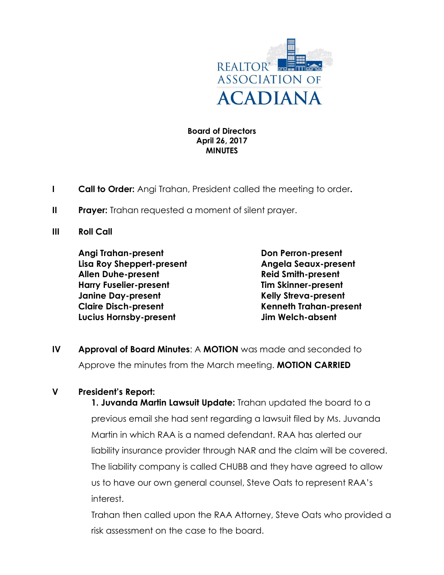

## **Board of Directors April 26, 2017 MINUTES**

- **I Call to Order:** Angi Trahan, President called the meeting to order**.**
- **II** Prayer: Trahan requested a moment of silent prayer.
- **III Roll Call**

**Angi Trahan-present Don Perron-present Lisa Roy Sheppert-present Angela Seaux-present Allen Duhe-present Reid Smith-present Harry Fuselier-present Tim Skinner-present Janine Day-present Kelly Streva-present Claire Disch-present Kenneth Trahan-present Lucius Hornsby-present Jim Welch-absent**

**IV Approval of Board Minutes**: A **MOTION** was made and seconded to Approve the minutes from the March meeting. **MOTION CARRIED**

## **V President's Report:**

**1. Juvanda Martin Lawsuit Update:** Trahan updated the board to a previous email she had sent regarding a lawsuit filed by Ms. Juvanda Martin in which RAA is a named defendant. RAA has alerted our liability insurance provider through NAR and the claim will be covered. The liability company is called CHUBB and they have agreed to allow us to have our own general counsel, Steve Oats to represent RAA's interest.

Trahan then called upon the RAA Attorney, Steve Oats who provided a risk assessment on the case to the board.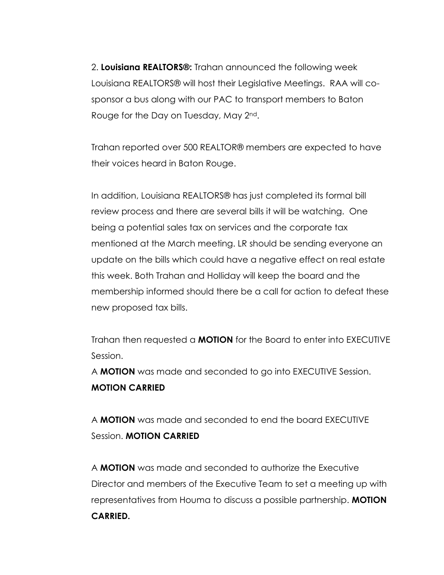2. **Louisiana REALTORS®:** Trahan announced the following week Louisiana REALTORS® will host their Legislative Meetings. RAA will cosponsor a bus along with our PAC to transport members to Baton Rouge for the Day on Tuesday, May 2nd.

Trahan reported over 500 REALTOR® members are expected to have their voices heard in Baton Rouge.

In addition, Louisiana REALTORS® has just completed its formal bill review process and there are several bills it will be watching. One being a potential sales tax on services and the corporate tax mentioned at the March meeting. LR should be sending everyone an update on the bills which could have a negative effect on real estate this week. Both Trahan and Holliday will keep the board and the membership informed should there be a call for action to defeat these new proposed tax bills.

Trahan then requested a **MOTION** for the Board to enter into EXECUTIVE Session.

A **MOTION** was made and seconded to go into EXECUTIVE Session. **MOTION CARRIED**

A **MOTION** was made and seconded to end the board EXECUTIVE Session. **MOTION CARRIED**

A **MOTION** was made and seconded to authorize the Executive Director and members of the Executive Team to set a meeting up with representatives from Houma to discuss a possible partnership. **MOTION CARRIED.**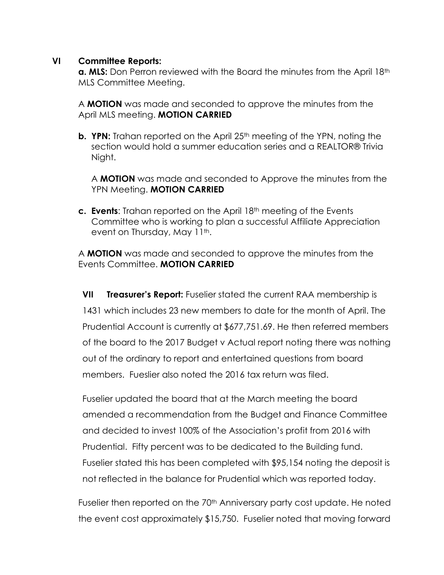## **VI Committee Reports:**

**a. MLS:** Don Perron reviewed with the Board the minutes from the April 18<sup>th</sup> MLS Committee Meeting.

A **MOTION** was made and seconded to approve the minutes from the April MLS meeting. **MOTION CARRIED**

**b. YPN:** Trahan reported on the April 25<sup>th</sup> meeting of the YPN, noting the section would hold a summer education series and a REALTOR® Trivia Night.

A **MOTION** was made and seconded to Approve the minutes from the YPN Meeting. **MOTION CARRIED**

**c. Events**: Trahan reported on the April 18th meeting of the Events Committee who is working to plan a successful Affiliate Appreciation event on Thursday, May 11<sup>th</sup>.

A **MOTION** was made and seconded to approve the minutes from the Events Committee. **MOTION CARRIED**

**VII Treasurer's Report:** Fuselier stated the current RAA membership is 1431 which includes 23 new members to date for the month of April. The Prudential Account is currently at \$677,751.69. He then referred members of the board to the 2017 Budget v Actual report noting there was nothing out of the ordinary to report and entertained questions from board members. Fueslier also noted the 2016 tax return was filed.

Fuselier updated the board that at the March meeting the board amended a recommendation from the Budget and Finance Committee and decided to invest 100% of the Association's profit from 2016 with Prudential. Fifty percent was to be dedicated to the Building fund. Fuselier stated this has been completed with \$95,154 noting the deposit is not reflected in the balance for Prudential which was reported today.

Fuselier then reported on the 70<sup>th</sup> Anniversary party cost update. He noted the event cost approximately \$15,750. Fuselier noted that moving forward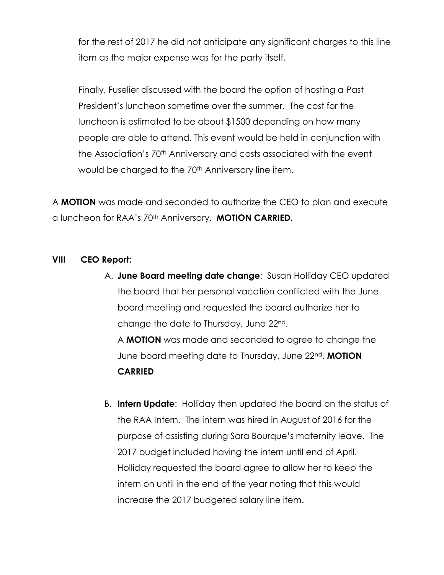for the rest of 2017 he did not anticipate any significant charges to this line item as the major expense was for the party itself.

Finally, Fuselier discussed with the board the option of hosting a Past President's luncheon sometime over the summer. The cost for the luncheon is estimated to be about \$1500 depending on how many people are able to attend. This event would be held in conjunction with the Association's 70<sup>th</sup> Anniversary and costs associated with the event would be charged to the 70<sup>th</sup> Anniversary line item.

A **MOTION** was made and seconded to authorize the CEO to plan and execute a luncheon for RAA's 70th Anniversary. **MOTION CARRIED.**

## **VIII CEO Report:**

A. **June Board meeting date change**: Susan Holliday CEO updated the board that her personal vacation conflicted with the June board meeting and requested the board authorize her to change the date to Thursday, June 22nd.

A **MOTION** was made and seconded to agree to change the June board meeting date to Thursday, June 22nd. **MOTION CARRIED** 

B. **Intern Update**: Holliday then updated the board on the status of the RAA Intern. The intern was hired in August of 2016 for the purpose of assisting during Sara Bourque's maternity leave. The 2017 budget included having the intern until end of April. Holliday requested the board agree to allow her to keep the intern on until in the end of the year noting that this would increase the 2017 budgeted salary line item.